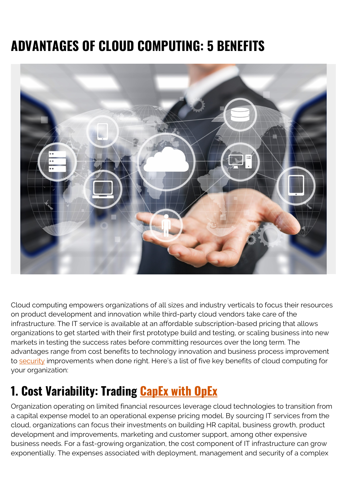# **ADVANTAGES OF CLOUD COMPUTING: 5 BENEFITS**



Cloud computing empowers organizations of all sizes and industry verticals to focus their resources on product development and innovation while third-party cloud vendors take care of the infrastructure. The IT service is available at an affordable subscription-based pricing that allows organizations to get started with their first prototype build and testing, or scaling business into new markets in testing the success rates before committing resources over the long term. The advantages range from cost benefits to technology innovation and business process improvement to [security](https://blogs.bmc.com/blogs/security-vulnerability-vs-threat-vs-risk-whats-difference/) improvements when done right. Here's a list of five key benefits of cloud computing for your organization:

#### **1. Cost Variability: Trading [CapEx with OpEx](https://blogs.bmc.com/blogs/capex-vs-opex/)**

Organization operating on limited financial resources leverage cloud technologies to transition from a capital expense model to an operational expense pricing model. By sourcing IT services from the cloud, organizations can focus their investments on building HR capital, business growth, product development and improvements, marketing and customer support, among other expensive business needs. For a fast-growing organization, the cost component of IT infrastructure can grow exponentially. The expenses associated with deployment, management and security of a complex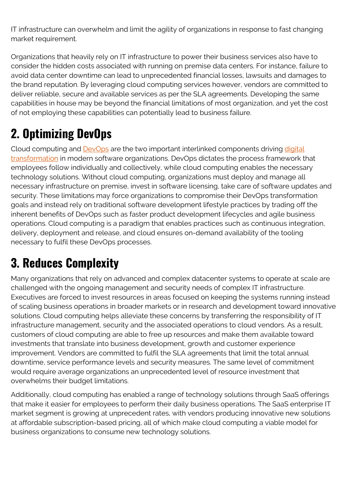IT infrastructure can overwhelm and limit the agility of organizations in response to fast changing market requirement.

Organizations that heavily rely on IT infrastructure to power their business services also have to consider the hidden costs associated with running on premise data centers. For instance, failure to avoid data center downtime can lead to unprecedented financial losses, lawsuits and damages to the brand reputation. By leveraging cloud computing services however, vendors are committed to deliver reliable, secure and available services as per the SLA agreements. Developing the same capabilities in house may be beyond the financial limitations of most organization, and yet the cost of not employing these capabilities can potentially lead to business failure.

## **2. Optimizing DevOps**

Cloud computing and **DevOps** are the two important interlinked components driving [digital](https://blogs.bmc.com/blogs/what-is-digital-transformation/) [transformation](https://blogs.bmc.com/blogs/what-is-digital-transformation/) in modern software organizations. DevOps dictates the process framework that employees follow individually and collectively, while cloud computing enables the necessary technology solutions. Without cloud computing, organizations must deploy and manage all necessary infrastructure on premise, invest in software licensing, take care of software updates and security. These limitations may force organizations to compromise their DevOps transformation goals and instead rely on traditional software development lifestyle practices by trading off the inherent benefits of DevOps such as faster product development lifecycles and agile business operations. Cloud computing is a paradigm that enables practices such as continuous integration, delivery, deployment and release, and cloud ensures on-demand availability of the tooling necessary to fulfil these DevOps processes.

## **3. Reduces Complexity**

Many organizations that rely on advanced and complex datacenter systems to operate at scale are challenged with the ongoing management and security needs of complex IT infrastructure. Executives are forced to invest resources in areas focused on keeping the systems running instead of scaling business operations in broader markets or in research and development toward innovative solutions. Cloud computing helps alleviate these concerns by transferring the responsibility of IT infrastructure management, security and the associated operations to cloud vendors. As a result, customers of cloud computing are able to free up resources and make them available toward investments that translate into business development, growth and customer experience improvement. Vendors are committed to fulfil the SLA agreements that limit the total annual downtime, service performance levels and security measures. The same level of commitment would require average organizations an unprecedented level of resource investment that overwhelms their budget limitations.

Additionally, cloud computing has enabled a range of technology solutions through SaaS offerings that make it easier for employees to perform their daily business operations. The SaaS enterprise IT market segment is growing at unprecedent rates, with vendors producing innovative new solutions at affordable subscription-based pricing, all of which make cloud computing a viable model for business organizations to consume new technology solutions.